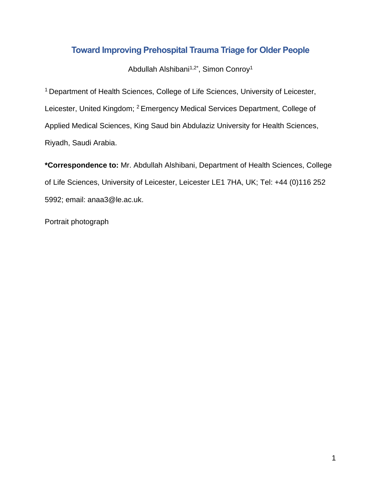# **Toward Improving Prehospital Trauma Triage for Older People**

Abdullah Alshibani<sup>1,2\*</sup>, Simon Conroy<sup>1</sup>

<sup>1</sup> Department of Health Sciences, College of Life Sciences, University of Leicester, Leicester, United Kingdom; <sup>2</sup> Emergency Medical Services Department, College of Applied Medical Sciences, King Saud bin Abdulaziz University for Health Sciences, Riyadh, Saudi Arabia.

**\*Correspondence to:** Mr. Abdullah Alshibani, Department of Health Sciences, College of Life Sciences, University of Leicester, Leicester LE1 7HA, UK; Tel: +44 (0)116 252 5992; email: anaa3@le.ac.uk.

Portrait photograph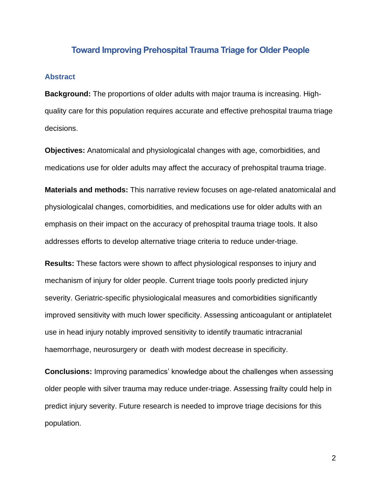### **Toward Improving Prehospital Trauma Triage for Older People**

#### **Abstract**

**Background:** The proportions of older adults with major trauma is increasing. Highquality care for this population requires accurate and effective prehospital trauma triage decisions.

**Objectives:** Anatomicalal and physiologicalal changes with age, comorbidities, and medications use for older adults may affect the accuracy of prehospital trauma triage.

**Materials and methods:** This narrative review focuses on age-related anatomicalal and physiologicalal changes, comorbidities, and medications use for older adults with an emphasis on their impact on the accuracy of prehospital trauma triage tools. It also addresses efforts to develop alternative triage criteria to reduce under-triage.

**Results:** These factors were shown to affect physiological responses to injury and mechanism of injury for older people. Current triage tools poorly predicted injury severity. Geriatric-specific physiologicalal measures and comorbidities significantly improved sensitivity with much lower specificity. Assessing anticoagulant or antiplatelet use in head injury notably improved sensitivity to identify traumatic intracranial haemorrhage, neurosurgery or death with modest decrease in specificity.

**Conclusions:** Improving paramedics' knowledge about the challenges when assessing older people with silver trauma may reduce under-triage. Assessing frailty could help in predict injury severity. Future research is needed to improve triage decisions for this population.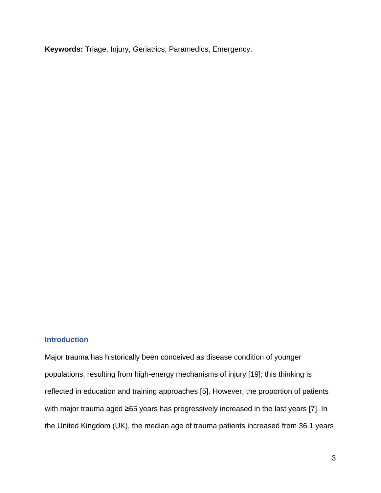**Keywords:** Triage, Injury, Geriatrics, Paramedics, Emergency.

### **Introduction**

Major trauma has historically been conceived as disease condition of younger populations, resulting from high-energy mechanisms of injury [19]; this thinking is reflected in education and training approaches [5]. However, the proportion of patients with major trauma aged ≥65 years has progressively increased in the last years [7]. In the United Kingdom (UK), the median age of trauma patients increased from 36.1 years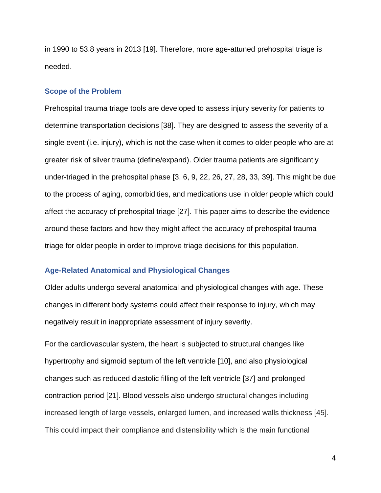in 1990 to 53.8 years in 2013 [19]. Therefore, more age-attuned prehospital triage is needed.

#### **Scope of the Problem**

Prehospital trauma triage tools are developed to assess injury severity for patients to determine transportation decisions [38]. They are designed to assess the severity of a single event (i.e. injury), which is not the case when it comes to older people who are at greater risk of silver trauma (define/expand). Older trauma patients are significantly under-triaged in the prehospital phase [3, 6, 9, 22, 26, 27, 28, 33, 39]. This might be due to the process of aging, comorbidities, and medications use in older people which could affect the accuracy of prehospital triage [27]. This paper aims to describe the evidence around these factors and how they might affect the accuracy of prehospital trauma triage for older people in order to improve triage decisions for this population.

### **Age-Related Anatomical and Physiological Changes**

Older adults undergo several anatomical and physiological changes with age. These changes in different body systems could affect their response to injury, which may negatively result in inappropriate assessment of injury severity.

For the cardiovascular system, the heart is subjected to structural changes like hypertrophy and sigmoid septum of the left ventricle [10], and also physiological changes such as reduced diastolic filling of the left ventricle [37] and prolonged contraction period [21]. Blood vessels also undergo structural changes including increased length of large vessels, enlarged lumen, and increased walls thickness [45]. This could impact their compliance and distensibility which is the main functional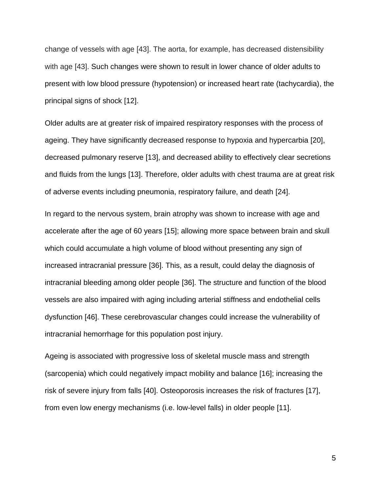change of vessels with age [43]. The aorta, for example, has decreased distensibility with age [43]. Such changes were shown to result in lower chance of older adults to present with low blood pressure (hypotension) or increased heart rate (tachycardia), the principal signs of shock [12].

Older adults are at greater risk of impaired respiratory responses with the process of ageing. They have significantly decreased response to hypoxia and hypercarbia [20], decreased pulmonary reserve [13], and decreased ability to effectively clear secretions and fluids from the lungs [13]. Therefore, older adults with chest trauma are at great risk of adverse events including pneumonia, respiratory failure, and death [24].

In regard to the nervous system, brain atrophy was shown to increase with age and accelerate after the age of 60 years [15]; allowing more space between brain and skull which could accumulate a high volume of blood without presenting any sign of increased intracranial pressure [36]. This, as a result, could delay the diagnosis of intracranial bleeding among older people [36]. The structure and function of the blood vessels are also impaired with aging including arterial stiffness and endothelial cells dysfunction [46]. These cerebrovascular changes could increase the vulnerability of intracranial hemorrhage for this population post injury.

Ageing is associated with progressive loss of skeletal muscle mass and strength (sarcopenia) which could negatively impact mobility and balance [16]; increasing the risk of severe injury from falls [40]. Osteoporosis increases the risk of fractures [17], from even low energy mechanisms (i.e. low-level falls) in older people [11].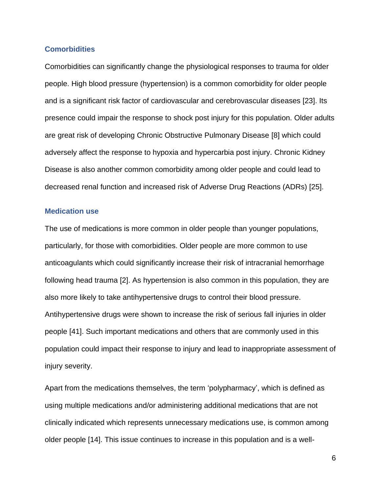### **Comorbidities**

Comorbidities can significantly change the physiological responses to trauma for older people. High blood pressure (hypertension) is a common comorbidity for older people and is a significant risk factor of cardiovascular and cerebrovascular diseases [23]. Its presence could impair the response to shock post injury for this population. Older adults are great risk of developing Chronic Obstructive Pulmonary Disease [8] which could adversely affect the response to hypoxia and hypercarbia post injury. Chronic Kidney Disease is also another common comorbidity among older people and could lead to decreased renal function and increased risk of Adverse Drug Reactions (ADRs) [25].

#### **Medication use**

The use of medications is more common in older people than younger populations, particularly, for those with comorbidities. Older people are more common to use anticoagulants which could significantly increase their risk of intracranial hemorrhage following head trauma [2]. As hypertension is also common in this population, they are also more likely to take antihypertensive drugs to control their blood pressure. Antihypertensive drugs were shown to increase the risk of serious fall injuries in older people [41]. Such important medications and others that are commonly used in this population could impact their response to injury and lead to inappropriate assessment of injury severity.

Apart from the medications themselves, the term 'polypharmacy', which is defined as using multiple medications and/or administering additional medications that are not clinically indicated which represents unnecessary medications use, is common among older people [14]. This issue continues to increase in this population and is a well-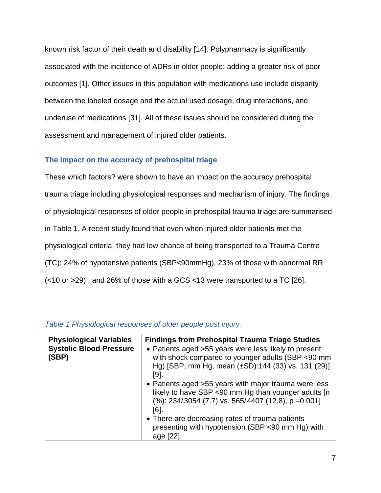known risk factor of their death and disability [14]. Polypharmacy is significantly associated with the incidence of ADRs in older people; adding a greater risk of poor outcomes [1]. Other issues in this population with medications use include disparity between the labeled dosage and the actual used dosage, drug interactions, and underuse of medications [31]. All of these issues should be considered during the assessment and management of injured older patients.

### **The impact on the accuracy of prehospital triage**

These which factors? were shown to have an impact on the accuracy prehospital trauma triage including physiological responses and mechanism of injury. The findings of physiological responses of older people in prehospital trauma triage are summarised in Table 1. A recent study found that even when injured older patients met the physiological criteria, they had low chance of being transported to a Trauma Centre (TC); 24% of hypotensive patients (SBP<90mmHg), 23% of those with abnormal RR (<10 or >29) , and 26% of those with a GCS <13 were transported to a TC [26].

| <b>Physiological Variables</b>          | <b>Findings from Prehospital Trauma Triage Studies</b>                                                                                                                                                                                                                                                                                                                                                                                                                             |
|-----------------------------------------|------------------------------------------------------------------------------------------------------------------------------------------------------------------------------------------------------------------------------------------------------------------------------------------------------------------------------------------------------------------------------------------------------------------------------------------------------------------------------------|
| <b>Systolic Blood Pressure</b><br>(SBP) | • Patients aged > 55 years were less likely to present<br>with shock compared to younger adults (SBP <90 mm<br>Hg) [SBP, mm Hg, mean (±SD):144 (33) vs. 131 (29)]<br>[9].<br>• Patients aged > 55 years with major trauma were less<br>likely to have SBP <90 mm Hg than younger adults [n]<br>$(\%)$ : 234/3054 (7.7) vs. 565/4407 (12.8), p = 0.001]<br>[6].<br>• There are decreasing rates of trauma patients<br>presenting with hypotension (SBP <90 mm Hg) with<br>age [22]. |

### *Table 1 Physiological responses of older people post injury.*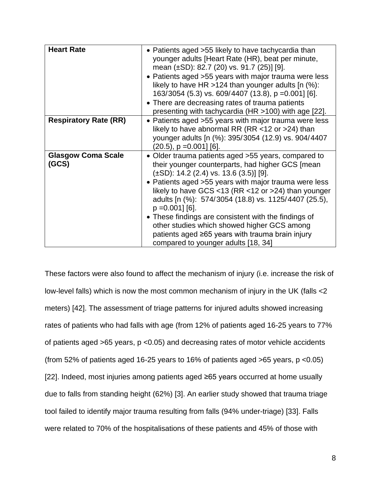| <b>Heart Rate</b>                  | • Patients aged > 55 likely to have tachycardia than<br>younger adults [Heart Rate (HR), beat per minute,<br>mean $(\pm SD)$ : 82.7 (20) vs. 91.7 (25)] [9].<br>• Patients aged > 55 years with major trauma were less<br>likely to have HR > 124 than younger adults $[n (%)$ :<br>163/3054 (5.3) vs. 609/4407 (13.8), p = 0.001] [6].<br>• There are decreasing rates of trauma patients<br>presenting with tachycardia (HR >100) with age [22].                                                                                                            |
|------------------------------------|---------------------------------------------------------------------------------------------------------------------------------------------------------------------------------------------------------------------------------------------------------------------------------------------------------------------------------------------------------------------------------------------------------------------------------------------------------------------------------------------------------------------------------------------------------------|
| <b>Respiratory Rate (RR)</b>       | • Patients aged > 55 years with major trauma were less<br>likely to have abnormal RR (RR $<$ 12 or >24) than<br>younger adults [n (%): 395/3054 (12.9) vs. 904/4407<br>$(20.5)$ , p = 0.001] [6].                                                                                                                                                                                                                                                                                                                                                             |
| <b>Glasgow Coma Scale</b><br>(GCS) | • Older trauma patients aged > 55 years, compared to<br>their younger counterparts, had higher GCS [mean<br>$(\pm SD)$ : 14.2 (2.4) vs. 13.6 (3.5)] [9].<br>• Patients aged > 55 years with major trauma were less<br>likely to have GCS <13 (RR <12 or >24) than younger<br>adults [n (%): 574/3054 (18.8) vs. 1125/4407 (25.5),<br>$p = 0.001$ [6].<br>• These findings are consistent with the findings of<br>other studies which showed higher GCS among<br>patients aged $\geq 65$ years with trauma brain injury<br>compared to younger adults [18, 34] |

These factors were also found to affect the mechanism of injury (i.e. increase the risk of low-level falls) which is now the most common mechanism of injury in the UK (falls <2 meters) [42]. The assessment of triage patterns for injured adults showed increasing rates of patients who had falls with age (from 12% of patients aged 16-25 years to 77% of patients aged >65 years, p <0.05) and decreasing rates of motor vehicle accidents (from 52% of patients aged 16-25 years to 16% of patients aged  $>65$  years, p <0.05) [22]. Indeed, most injuries among patients aged ≥65 years occurred at home usually due to falls from standing height (62%) [3]. An earlier study showed that trauma triage tool failed to identify major trauma resulting from falls (94% under-triage) [33]. Falls were related to 70% of the hospitalisations of these patients and 45% of those with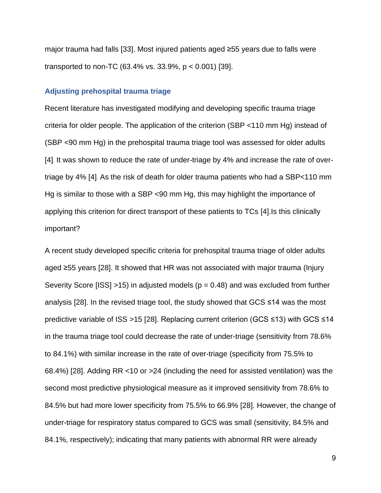major trauma had falls [33]. Most injured patients aged ≥55 years due to falls were transported to non-TC (63.4% vs. 33.9%, p < 0.001) [39].

### **Adjusting prehospital trauma triage**

Recent literature has investigated modifying and developing specific trauma triage criteria for older people. The application of the criterion (SBP <110 mm Hg) instead of (SBP <90 mm Hg) in the prehospital trauma triage tool was assessed for older adults [4]. It was shown to reduce the rate of under-triage by 4% and increase the rate of overtriage by 4% [4]. As the risk of death for older trauma patients who had a SBP<110 mm Hg is similar to those with a SBP <90 mm Hg, this may highlight the importance of applying this criterion for direct transport of these patients to TCs [4].Is this clinically important?

A recent study developed specific criteria for prehospital trauma triage of older adults aged ≥55 years [28]. It showed that HR was not associated with major trauma (Injury Severity Score  $[ISS] >15$ ) in adjusted models ( $p = 0.48$ ) and was excluded from further analysis [28]. In the revised triage tool, the study showed that GCS ≤14 was the most predictive variable of ISS >15 [28]. Replacing current criterion (GCS ≤13) with GCS ≤14 in the trauma triage tool could decrease the rate of under-triage (sensitivity from 78.6% to 84.1%) with similar increase in the rate of over-triage (specificity from 75.5% to 68.4%) [28]. Adding RR <10 or >24 (including the need for assisted ventilation) was the second most predictive physiological measure as it improved sensitivity from 78.6% to 84.5% but had more lower specificity from 75.5% to 66.9% [28]. However, the change of under-triage for respiratory status compared to GCS was small (sensitivity, 84.5% and 84.1%, respectively); indicating that many patients with abnormal RR were already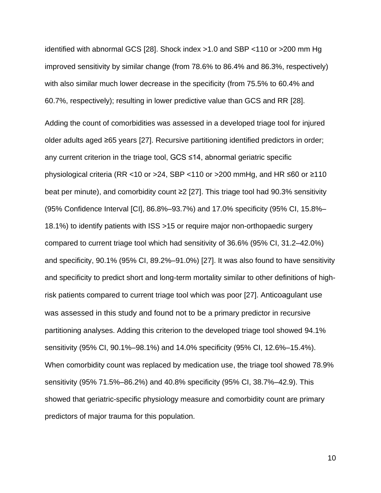identified with abnormal GCS [28]. Shock index >1.0 and SBP <110 or >200 mm Hg improved sensitivity by similar change (from 78.6% to 86.4% and 86.3%, respectively) with also similar much lower decrease in the specificity (from 75.5% to 60.4% and 60.7%, respectively); resulting in lower predictive value than GCS and RR [28].

Adding the count of comorbidities was assessed in a developed triage tool for injured older adults aged ≥65 years [27]. Recursive partitioning identified predictors in order; any current criterion in the triage tool, GCS ≤14, abnormal geriatric specific physiological criteria (RR <10 or >24, SBP <110 or >200 mmHg, and HR ≤60 or ≥110 beat per minute), and comorbidity count ≥2 [27]. This triage tool had 90.3% sensitivity (95% Confidence Interval [CI], 86.8%–93.7%) and 17.0% specificity (95% CI, 15.8%– 18.1%) to identify patients with ISS >15 or require major non-orthopaedic surgery compared to current triage tool which had sensitivity of 36.6% (95% CI, 31.2–42.0%) and specificity, 90.1% (95% CI, 89.2%–91.0%) [27]. It was also found to have sensitivity and specificity to predict short and long-term mortality similar to other definitions of highrisk patients compared to current triage tool which was poor [27]. Anticoagulant use was assessed in this study and found not to be a primary predictor in recursive partitioning analyses. Adding this criterion to the developed triage tool showed 94.1% sensitivity (95% CI, 90.1%–98.1%) and 14.0% specificity (95% CI, 12.6%–15.4%). When comorbidity count was replaced by medication use, the triage tool showed 78.9% sensitivity (95% 71.5%–86.2%) and 40.8% specificity (95% CI, 38.7%–42.9). This showed that geriatric-specific physiology measure and comorbidity count are primary predictors of major trauma for this population.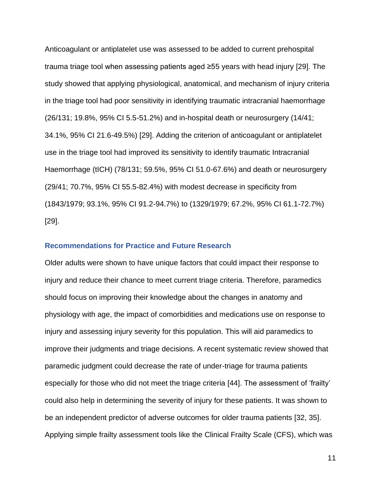Anticoagulant or antiplatelet use was assessed to be added to current prehospital trauma triage tool when assessing patients aged ≥55 years with head injury [29]. The study showed that applying physiological, anatomical, and mechanism of injury criteria in the triage tool had poor sensitivity in identifying traumatic intracranial haemorrhage (26/131; 19.8%, 95% CI 5.5-51.2%) and in-hospital death or neurosurgery (14/41; 34.1%, 95% CI 21.6-49.5%) [29]. Adding the criterion of anticoagulant or antiplatelet use in the triage tool had improved its sensitivity to identify traumatic Intracranial Haemorrhage (tICH) (78/131; 59.5%, 95% CI 51.0-67.6%) and death or neurosurgery (29/41; 70.7%, 95% CI 55.5-82.4%) with modest decrease in specificity from (1843/1979; 93.1%, 95% CI 91.2-94.7%) to (1329/1979; 67.2%, 95% CI 61.1-72.7%) [29].

### **Recommendations for Practice and Future Research**

Older adults were shown to have unique factors that could impact their response to injury and reduce their chance to meet current triage criteria. Therefore, paramedics should focus on improving their knowledge about the changes in anatomy and physiology with age, the impact of comorbidities and medications use on response to injury and assessing injury severity for this population. This will aid paramedics to improve their judgments and triage decisions. A recent systematic review showed that paramedic judgment could decrease the rate of under-triage for trauma patients especially for those who did not meet the triage criteria [44]. The assessment of 'frailty' could also help in determining the severity of injury for these patients. It was shown to be an independent predictor of adverse outcomes for older trauma patients [32, 35]. Applying simple frailty assessment tools like the Clinical Frailty Scale (CFS), which was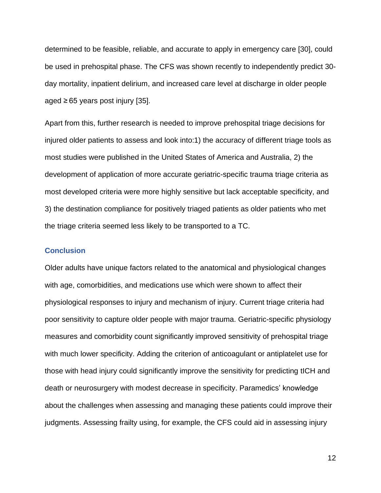determined to be feasible, reliable, and accurate to apply in emergency care [30], could be used in prehospital phase. The CFS was shown recently to independently predict 30 day mortality, inpatient delirium, and increased care level at discharge in older people aged ≥ 65 years post injury [35].

Apart from this, further research is needed to improve prehospital triage decisions for injured older patients to assess and look into:1) the accuracy of different triage tools as most studies were published in the United States of America and Australia, 2) the development of application of more accurate geriatric-specific trauma triage criteria as most developed criteria were more highly sensitive but lack acceptable specificity, and 3) the destination compliance for positively triaged patients as older patients who met the triage criteria seemed less likely to be transported to a TC.

### **Conclusion**

Older adults have unique factors related to the anatomical and physiological changes with age, comorbidities, and medications use which were shown to affect their physiological responses to injury and mechanism of injury. Current triage criteria had poor sensitivity to capture older people with major trauma. Geriatric-specific physiology measures and comorbidity count significantly improved sensitivity of prehospital triage with much lower specificity. Adding the criterion of anticoagulant or antiplatelet use for those with head injury could significantly improve the sensitivity for predicting tICH and death or neurosurgery with modest decrease in specificity. Paramedics' knowledge about the challenges when assessing and managing these patients could improve their judgments. Assessing frailty using, for example, the CFS could aid in assessing injury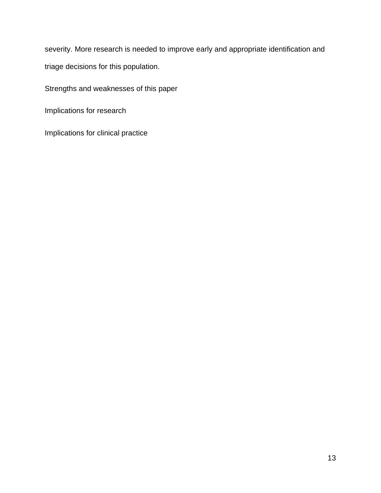severity. More research is needed to improve early and appropriate identification and triage decisions for this population.

Strengths and weaknesses of this paper

Implications for research

Implications for clinical practice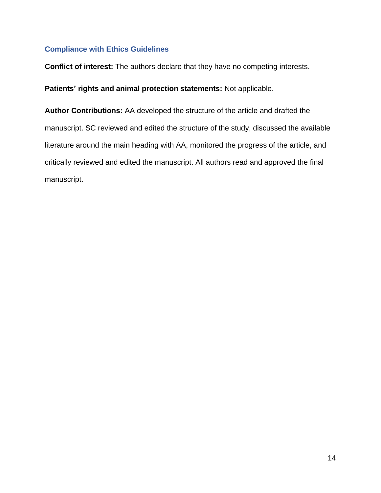## **Compliance with Ethics Guidelines**

**Conflict of interest:** The authors declare that they have no competing interests.

**Patients' rights and animal protection statements:** Not applicable.

**Author Contributions:** AA developed the structure of the article and drafted the manuscript. SC reviewed and edited the structure of the study, discussed the available literature around the main heading with AA, monitored the progress of the article, and critically reviewed and edited the manuscript. All authors read and approved the final manuscript.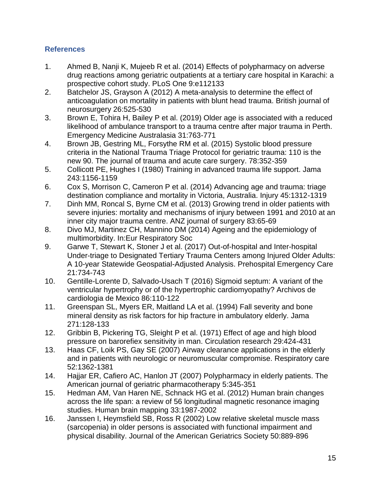# **References**

- 1. Ahmed B, Nanji K, Mujeeb R et al. (2014) Effects of polypharmacy on adverse drug reactions among geriatric outpatients at a tertiary care hospital in Karachi: a prospective cohort study. PLoS One 9:e112133
- 2. Batchelor JS, Grayson A (2012) A meta-analysis to determine the effect of anticoagulation on mortality in patients with blunt head trauma. British journal of neurosurgery 26:525-530
- 3. Brown E, Tohira H, Bailey P et al. (2019) Older age is associated with a reduced likelihood of ambulance transport to a trauma centre after major trauma in Perth. Emergency Medicine Australasia 31:763-771
- 4. Brown JB, Gestring ML, Forsythe RM et al. (2015) Systolic blood pressure criteria in the National Trauma Triage Protocol for geriatric trauma: 110 is the new 90. The journal of trauma and acute care surgery. 78:352-359
- 5. Collicott PE, Hughes I (1980) Training in advanced trauma life support. Jama 243:1156-1159
- 6. Cox S, Morrison C, Cameron P et al. (2014) Advancing age and trauma: triage destination compliance and mortality in Victoria, Australia. Injury 45:1312-1319
- 7. Dinh MM, Roncal S, Byrne CM et al. (2013) Growing trend in older patients with severe injuries: mortality and mechanisms of injury between 1991 and 2010 at an inner city major trauma centre. ANZ journal of surgery 83:65-69
- 8. Divo MJ, Martinez CH, Mannino DM (2014) Ageing and the epidemiology of multimorbidity. In:Eur Respiratory Soc
- 9. Garwe T, Stewart K, Stoner J et al. (2017) Out-of-hospital and Inter-hospital Under-triage to Designated Tertiary Trauma Centers among Injured Older Adults: A 10-year Statewide Geospatial-Adjusted Analysis. Prehospital Emergency Care 21:734-743
- 10. Gentille-Lorente D, Salvado-Usach T (2016) Sigmoid septum: A variant of the ventricular hypertrophy or of the hypertrophic cardiomyopathy? Archivos de cardiologia de Mexico 86:110-122
- 11. Greenspan SL, Myers ER, Maitland LA et al. (1994) Fall severity and bone mineral density as risk factors for hip fracture in ambulatory elderly. Jama 271:128-133
- 12. Gribbin B, Pickering TG, Sleight P et al. (1971) Effect of age and high blood pressure on barorefiex sensitivity in man. Circulation research 29:424-431
- 13. Haas CF, Loik PS, Gay SE (2007) Airway clearance applications in the elderly and in patients with neurologic or neuromuscular compromise. Respiratory care 52:1362-1381
- 14. Hajjar ER, Cafiero AC, Hanlon JT (2007) Polypharmacy in elderly patients. The American journal of geriatric pharmacotherapy 5:345-351
- 15. Hedman AM, Van Haren NE, Schnack HG et al. (2012) Human brain changes across the life span: a review of 56 longitudinal magnetic resonance imaging studies. Human brain mapping 33:1987-2002
- 16. Janssen I, Heymsfield SB, Ross R (2002) Low relative skeletal muscle mass (sarcopenia) in older persons is associated with functional impairment and physical disability. Journal of the American Geriatrics Society 50:889-896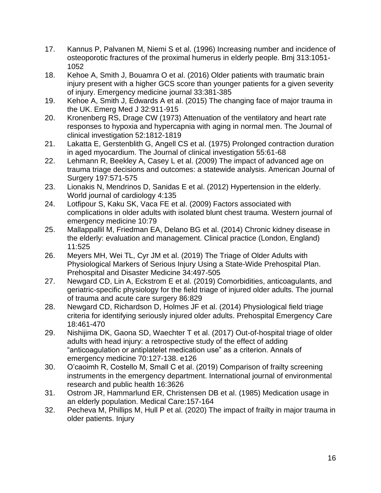- 17. Kannus P, Palvanen M, Niemi S et al. (1996) Increasing number and incidence of osteoporotic fractures of the proximal humerus in elderly people. Bmj 313:1051- 1052
- 18. Kehoe A, Smith J, Bouamra O et al. (2016) Older patients with traumatic brain injury present with a higher GCS score than younger patients for a given severity of injury. Emergency medicine journal 33:381-385
- 19. Kehoe A, Smith J, Edwards A et al. (2015) The changing face of major trauma in the UK. Emerg Med J 32:911-915
- 20. Kronenberg RS, Drage CW (1973) Attenuation of the ventilatory and heart rate responses to hypoxia and hypercapnia with aging in normal men. The Journal of clinical investigation 52:1812-1819
- 21. Lakatta E, Gerstenblith G, Angell CS et al. (1975) Prolonged contraction duration in aged myocardium. The Journal of clinical investigation 55:61-68
- 22. Lehmann R, Beekley A, Casey L et al. (2009) The impact of advanced age on trauma triage decisions and outcomes: a statewide analysis. American Journal of Surgery 197:571-575
- 23. Lionakis N, Mendrinos D, Sanidas E et al. (2012) Hypertension in the elderly. World journal of cardiology 4:135
- 24. Lotfipour S, Kaku SK, Vaca FE et al. (2009) Factors associated with complications in older adults with isolated blunt chest trauma. Western journal of emergency medicine 10:79
- 25. Mallappallil M, Friedman EA, Delano BG et al. (2014) Chronic kidney disease in the elderly: evaluation and management. Clinical practice (London, England) 11:525
- 26. Meyers MH, Wei TL, Cyr JM et al. (2019) The Triage of Older Adults with Physiological Markers of Serious Injury Using a State-Wide Prehospital Plan. Prehospital and Disaster Medicine 34:497-505
- 27. Newgard CD, Lin A, Eckstrom E et al. (2019) Comorbidities, anticoagulants, and geriatric-specific physiology for the field triage of injured older adults. The journal of trauma and acute care surgery 86:829
- 28. Newgard CD, Richardson D, Holmes JF et al. (2014) Physiological field triage criteria for identifying seriously injured older adults. Prehospital Emergency Care 18:461-470
- 29. Nishijima DK, Gaona SD, Waechter T et al. (2017) Out-of-hospital triage of older adults with head injury: a retrospective study of the effect of adding "anticoagulation or antiplatelet medication use" as a criterion. Annals of emergency medicine 70:127-138. e126
- 30. O'caoimh R, Costello M, Small C et al. (2019) Comparison of frailty screening instruments in the emergency department. International journal of environmental research and public health 16:3626
- 31. Ostrom JR, Hammarlund ER, Christensen DB et al. (1985) Medication usage in an elderly population. Medical Care:157-164
- 32. Pecheva M, Phillips M, Hull P et al. (2020) The impact of frailty in major trauma in older patients. Injury